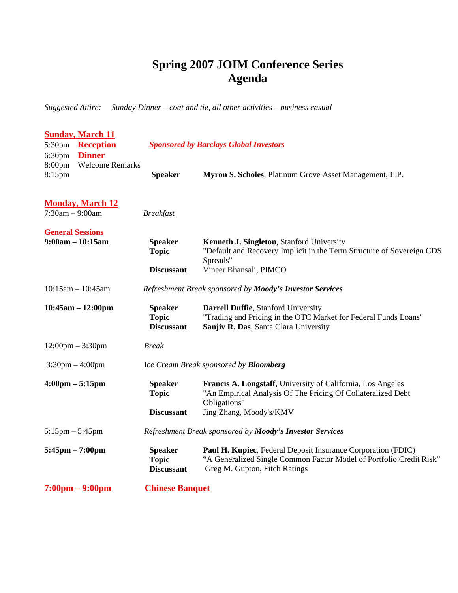## **Spring 2007 JOIM Conference Series Agenda**

*Suggested Attire: Sunday Dinner – coat and tie, all other activities – business casual* 

| <b>Sunday, March 11</b>            |                                                          |                                                                                                                                                                      |
|------------------------------------|----------------------------------------------------------|----------------------------------------------------------------------------------------------------------------------------------------------------------------------|
| <b>Reception</b><br>5:30pm         | <b>Sponsored by Barclays Global Investors</b>            |                                                                                                                                                                      |
| <b>Dinner</b><br>6:30pm            |                                                          |                                                                                                                                                                      |
| <b>Welcome Remarks</b><br>8:00pm   |                                                          |                                                                                                                                                                      |
| 8:15pm                             | <b>Speaker</b>                                           | Myron S. Scholes, Platinum Grove Asset Management, L.P.                                                                                                              |
| <b>Monday, March 12</b>            |                                                          |                                                                                                                                                                      |
| $7:30am - 9:00am$                  | <b>Breakfast</b>                                         |                                                                                                                                                                      |
| <b>General Sessions</b>            |                                                          |                                                                                                                                                                      |
| $9:00am - 10:15am$                 | <b>Speaker</b><br><b>Topic</b>                           | Kenneth J. Singleton, Stanford University<br>"Default and Recovery Implicit in the Term Structure of Sovereign CDS<br>Spreads"                                       |
|                                    | <b>Discussant</b>                                        | Vineer Bhansali, PIMCO                                                                                                                                               |
| $10:15$ am $- 10:45$ am            | Refreshment Break sponsored by Moody's Investor Services |                                                                                                                                                                      |
| $10:45am - 12:00pm$                | <b>Speaker</b><br><b>Topic</b><br><b>Discussant</b>      | Darrell Duffie, Stanford University<br>"Trading and Pricing in the OTC Market for Federal Funds Loans"<br>Sanjiv R. Das, Santa Clara University                      |
| $12:00 \text{pm} - 3:30 \text{pm}$ | <b>Break</b>                                             |                                                                                                                                                                      |
| $3:30$ pm $-4:00$ pm               | Ice Cream Break sponsored by <b>Bloomberg</b>            |                                                                                                                                                                      |
| $4:00 \text{pm} - 5:15 \text{pm}$  | <b>Speaker</b>                                           | Francis A. Longstaff, University of California, Los Angeles                                                                                                          |
|                                    | <b>Topic</b>                                             | "An Empirical Analysis Of The Pricing Of Collateralized Debt<br>Obligations"                                                                                         |
|                                    | <b>Discussant</b>                                        | Jing Zhang, Moody's/KMV                                                                                                                                              |
| $5:15$ pm $-5:45$ pm               | Refreshment Break sponsored by Moody's Investor Services |                                                                                                                                                                      |
| $5:45\text{pm} - 7:00\text{pm}$    | <b>Speaker</b><br><b>Topic</b><br><b>Discussant</b>      | Paul H. Kupiec, Federal Deposit Insurance Corporation (FDIC)<br>"A Generalized Single Common Factor Model of Portfolio Credit Risk"<br>Greg M. Gupton, Fitch Ratings |
| $7:00 \text{pm} - 9:00 \text{pm}$  | <b>Chinese Banquet</b>                                   |                                                                                                                                                                      |